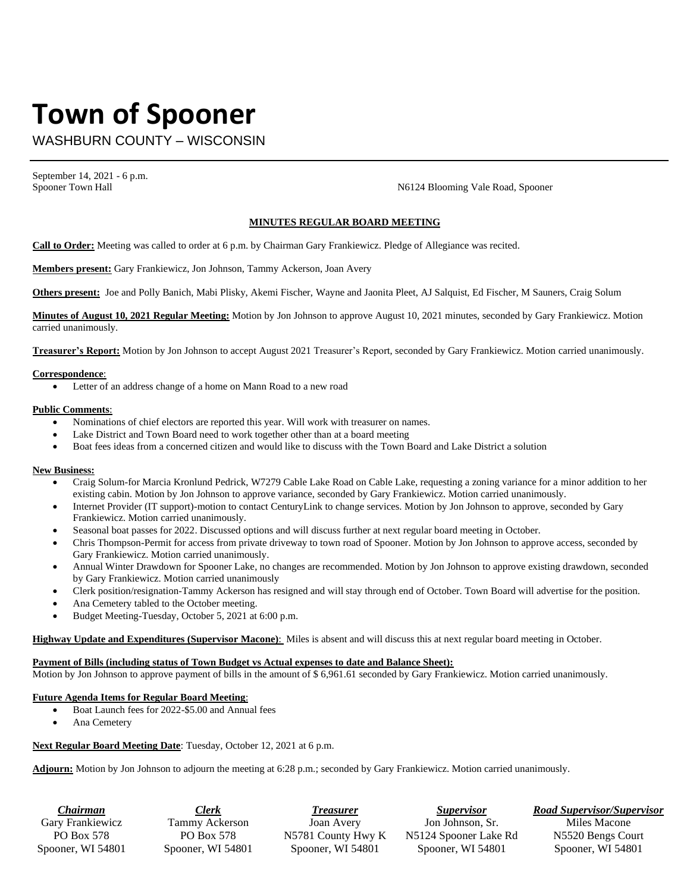# **Town of Spooner**

WASHBURN COUNTY – WISCONSIN

September 14, 2021 - 6 p.m.

Spooner Town Hall Spooner Town Hall Spooner Town Hall Spooner Town Hall Spooner Town Hall

## **MINUTES REGULAR BOARD MEETING**

**Call to Order:** Meeting was called to order at 6 p.m. by Chairman Gary Frankiewicz. Pledge of Allegiance was recited.

**Members present:** Gary Frankiewicz, Jon Johnson, Tammy Ackerson, Joan Avery

**Others present:** Joe and Polly Banich, Mabi Plisky, Akemi Fischer, Wayne and Jaonita Pleet, AJ Salquist, Ed Fischer, M Sauners, Craig Solum

**Minutes of August 10, 2021 Regular Meeting:** Motion by Jon Johnson to approve August 10, 2021 minutes, seconded by Gary Frankiewicz. Motion carried unanimously.

**Treasurer's Report:** Motion by Jon Johnson to accept August 2021 Treasurer's Report, seconded by Gary Frankiewicz. Motion carried unanimously.

#### **Correspondence**:

• Letter of an address change of a home on Mann Road to a new road

#### **Public Comments**:

- Nominations of chief electors are reported this year. Will work with treasurer on names.
- Lake District and Town Board need to work together other than at a board meeting
- Boat fees ideas from a concerned citizen and would like to discuss with the Town Board and Lake District a solution

### **New Business:**

- Craig Solum-for Marcia Kronlund Pedrick, W7279 Cable Lake Road on Cable Lake, requesting a zoning variance for a minor addition to her existing cabin. Motion by Jon Johnson to approve variance, seconded by Gary Frankiewicz. Motion carried unanimously.
- Internet Provider (IT support)-motion to contact CenturyLink to change services. Motion by Jon Johnson to approve, seconded by Gary Frankiewicz. Motion carried unanimously.
- Seasonal boat passes for 2022. Discussed options and will discuss further at next regular board meeting in October.
- Chris Thompson-Permit for access from private driveway to town road of Spooner. Motion by Jon Johnson to approve access, seconded by Gary Frankiewicz. Motion carried unanimously.
- Annual Winter Drawdown for Spooner Lake, no changes are recommended. Motion by Jon Johnson to approve existing drawdown, seconded by Gary Frankiewicz. Motion carried unanimously
- Clerk position/resignation-Tammy Ackerson has resigned and will stay through end of October. Town Board will advertise for the position.
- Ana Cemetery tabled to the October meeting.
- Budget Meeting-Tuesday, October 5, 2021 at 6:00 p.m.

**Highway Update and Expenditures (Supervisor Macone)**: Miles is absent and will discuss this at next regular board meeting in October.

#### **Payment of Bills (including status of Town Budget vs Actual expenses to date and Balance Sheet):**

Motion by Jon Johnson to approve payment of bills in the amount of \$ 6,961.61 seconded by Gary Frankiewicz. Motion carried unanimously.

### **Future Agenda Items for Regular Board Meeting**:

- Boat Launch fees for 2022-\$5.00 and Annual fees
- Ana Cemetery

**Next Regular Board Meeting Date**: Tuesday, October 12, 2021 at 6 p.m.

**Adjourn:** Motion by Jon Johnson to adjourn the meeting at 6:28 p.m.; seconded by Gary Frankiewicz. Motion carried unanimously.

| . hairman         | <b>Clerk</b>      | Treasurer          | <i>Supervisor</i>     | <b>Road Supervisor/Supervisor</b> |
|-------------------|-------------------|--------------------|-----------------------|-----------------------------------|
| Garv Frankiewicz  | Tammy Ackerson    | Joan Avery         | Jon Johnson, Sr.      | Miles Macone                      |
| PO Box 578        | PO Box 578        | N5781 County Hwy K | N5124 Spooner Lake Rd | N5520 Bengs Court                 |
| Spooner, WI 54801 | Spooner, WI 54801 | Spooner, WI 54801  | Spooner, WI 54801     | Spooner, WI 54801                 |